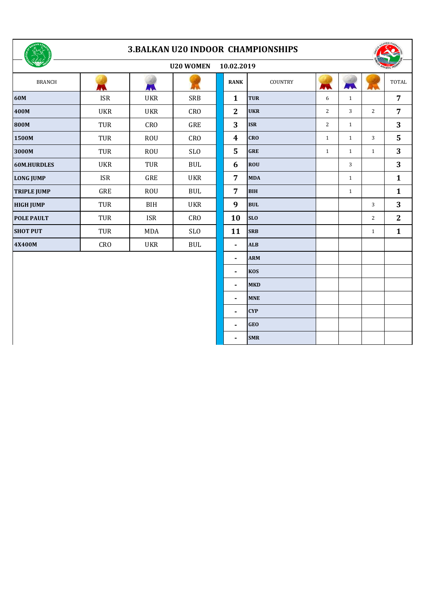

## **3.BALKAN U20 INDOOR CHAMPIONSHIPS**



| OSSE SHOW          |            |            | <b>U20 WOMEN</b> | 10.02.2019     |            |            |              |                | <b>RIGH ATHLETIC FEDERA</b> |
|--------------------|------------|------------|------------------|----------------|------------|------------|--------------|----------------|-----------------------------|
| <b>BRANCH</b>      |            | LA.        |                  | <b>RANK</b>    | COUNTRY    | <b>AND</b> | ANA          |                | <b>TOT</b>                  |
| 60M                | <b>ISR</b> | <b>UKR</b> | <b>SRB</b>       | $\mathbf{1}$   | <b>TUR</b> | 6          | $\mathbf{1}$ |                | 7                           |
| 400M               | <b>UKR</b> | <b>UKR</b> | <b>CRO</b>       | $\overline{2}$ | <b>UKR</b> | 2          | 3            | $\overline{2}$ | 7                           |
| 800M               | TUR        | CRO        | GRE              | 3              | <b>ISR</b> | 2          | $\mathbf{1}$ |                | 3                           |
| 1500M              | TUR        | <b>ROU</b> | <b>CRO</b>       | 4              | <b>CRO</b> | 1          | $\mathbf{1}$ | 3              | 5                           |
| 3000M              | TUR        | <b>ROU</b> | <b>SLO</b>       | 5              | <b>GRE</b> | 1          | $\mathbf{1}$ | $\mathbf{1}$   | 3                           |
| 60M.HURDLES        | <b>UKR</b> | TUR        | <b>BUL</b>       | 6              | <b>ROU</b> |            | 3            |                | 3                           |
| <b>LONG JUMP</b>   | <b>ISR</b> | GRE        | <b>UKR</b>       | $\overline{7}$ | <b>MDA</b> |            | $\mathbf{1}$ |                | 1                           |
| <b>TRIPLE JUMP</b> | GRE        | <b>ROU</b> | <b>BUL</b>       | 7              | <b>BIH</b> |            | 1            |                | 1                           |
| <b>HIGH JUMP</b>   | TUR        | BIH        | <b>UKR</b>       | 9              | <b>BUL</b> |            |              | 3              | 3                           |
| <b>POLE PAULT</b>  | TUR        | <b>ISR</b> | <b>CRO</b>       | 10             | <b>SLO</b> |            |              | 2              | $\overline{c}$              |
| <b>SHOT PUT</b>    | TUR        | MDA        | <b>SLO</b>       | 11             | <b>SRB</b> |            |              | 1              | 1                           |
| 4X400M             | <b>CRO</b> | <b>UKR</b> | <b>BUL</b>       | ۰              | <b>ALB</b> |            |              |                |                             |
|                    |            |            |                  |                |            |            |              |                |                             |

| <b>BRANCH</b> |                             | <b>AND</b>      |            | <b>RANK</b>    | COUNTRY        | WW             | AW           | LЛ.            | <b>TOTAL</b>   |
|---------------|-----------------------------|-----------------|------------|----------------|----------------|----------------|--------------|----------------|----------------|
|               | $\ensuremath{\mathsf{ISR}}$ | <b>UKR</b>      | SRB        | $\mathbf{1}$   | <b>TUR</b>     | 6              | $\mathbf{1}$ |                | $\overline{7}$ |
|               | <b>UKR</b>                  | <b>UKR</b>      | <b>CRO</b> | $\mathbf{2}$   | <b>UKR</b>     | $\overline{c}$ | 3            | $\overline{c}$ | $\overline{7}$ |
|               | TUR                         | CR <sub>O</sub> | GRE        | 3              | <b>ISR</b>     | 2              | $\mathbf{1}$ |                | 3              |
|               | TUR                         | <b>ROU</b>      | <b>CRO</b> | 4              | <b>CRO</b>     | $\mathbf{1}$   | $\mathbf{1}$ | 3              | $5\phantom{a}$ |
|               | TUR                         | <b>ROU</b>      | <b>SLO</b> | 5              | <b>GRE</b>     | $\mathbf{1}$   | $\mathbf{1}$ | $\mathbf{1}$   | 3              |
| <b>RDLES</b>  | <b>UKR</b>                  | TUR             | <b>BUL</b> | 6              | <b>ROU</b>     |                | 3            |                | 3              |
| MP            | ISR                         | GRE             | <b>UKR</b> | $\overline{7}$ | <b>MDA</b>     |                | $\mathbf{1}$ |                | $\mathbf{1}$   |
| <b>JUMP</b>   | ${\tt GRE}$                 | <b>ROU</b>      | <b>BUL</b> | $\overline{7}$ | <b>BIH</b>     |                | $\mathbf{1}$ |                | $\mathbf{1}$   |
| MP            | TUR                         | BIH             | <b>UKR</b> | 9              | $\mathbf{BUL}$ |                |              | 3              | 3              |
| <b>ULT</b>    | TUR                         | <b>ISR</b>      | <b>CRO</b> | 10             | <b>SLO</b>     |                |              | 2              | $\mathbf{2}$   |
| JT            | TUR                         | MDA             | <b>SLO</b> | 11             | <b>SRB</b>     |                |              | $\mathbf{1}$   | $\mathbf{1}$   |
|               | <b>CRO</b>                  | UKR             | <b>BUL</b> | $\blacksquare$ | <b>ALB</b>     |                |              |                |                |
|               |                             |                 |            | ۰              | <b>ARM</b>     |                |              |                |                |
|               |                             |                 |            | $\blacksquare$ | <b>KOS</b>     |                |              |                |                |
|               |                             |                 |            | $\blacksquare$ | <b>MKD</b>     |                |              |                |                |
|               |                             |                 |            | ٠              | <b>MNE</b>     |                |              |                |                |
|               |                             |                 |            | ۰              | <b>CYP</b>     |                |              |                |                |
|               |                             |                 |            | -              | <b>GEO</b>     |                |              |                |                |
|               |                             |                 |            | ۰              | <b>SMR</b>     |                |              |                |                |
|               |                             |                 |            |                |                |                |              |                |                |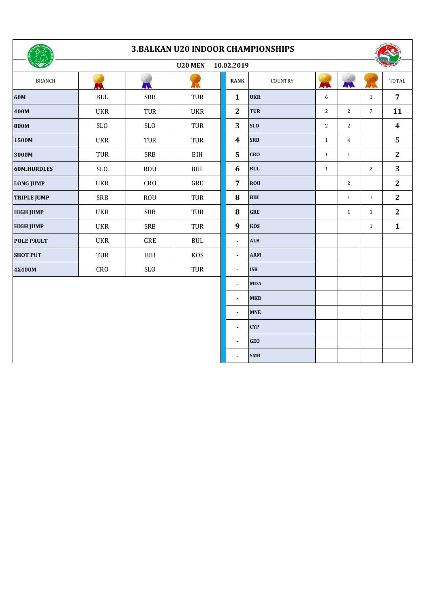

## **3.BALKAN U20 INDOOR CHAMPIONSHIPS**

| Osh SHOP<br>U20 MEN<br>10.02.2019 |            |            |             |  |                  |            | <b>SHATHLETIC FEDERA</b> |                |                 |                         |
|-----------------------------------|------------|------------|-------------|--|------------------|------------|--------------------------|----------------|-----------------|-------------------------|
| <b>BRANCH</b>                     |            |            |             |  | <b>RANK</b>      | COUNTRY    | AW                       | AVA            |                 | <b>TOTAL</b>            |
| 60M                               | <b>BUL</b> | <b>SRB</b> | <b>TUR</b>  |  | $\mathbf{1}$     | <b>UKR</b> | 6                        |                | $\mathbf{1}$    | $\overline{7}$          |
| 400M                              | <b>UKR</b> | <b>TUR</b> | <b>UKR</b>  |  | $\mathbf{2}$     | <b>TUR</b> | $\overline{2}$           | 2              | $7\overline{ }$ | 11                      |
| 800M                              | <b>SLO</b> | <b>SLO</b> | TUR         |  | 3                | <b>SLO</b> | $\overline{2}$           | 2              |                 | $\boldsymbol{4}$        |
| 1500M                             | <b>UKR</b> | <b>TUR</b> | TUR         |  | $\boldsymbol{4}$ | <b>SRB</b> | $\mathbf{1}$             | $\overline{4}$ |                 | $\overline{\mathbf{5}}$ |
| 3000M                             | TUR        | <b>SRB</b> | BIH         |  | 5                | <b>CRO</b> | $\mathbf{1}$             | $\mathbf{1}$   |                 | $\mathbf{2}$            |
| <b>60M.HURDLES</b>                | <b>SLO</b> | <b>ROU</b> | <b>BUL</b>  |  | 6                | <b>BUL</b> | $\mathbf{1}$             |                | $\mathbf{2}$    | 3                       |
| <b>LONG JUMP</b>                  | <b>UKR</b> | CRO        | ${\tt GRE}$ |  | $\overline{7}$   | <b>ROU</b> |                          | 2              |                 | $\mathbf{2}$            |
| <b>TRIPLE JUMP</b>                | <b>SRB</b> | <b>ROU</b> | TUR         |  | ${\bf 8}$        | <b>BIH</b> |                          | $\mathbf{1}$   | $\mathbf{1}$    | $\boldsymbol{2}$        |
| <b>HIGH JUMP</b>                  | <b>UKR</b> | <b>SRB</b> | TUR         |  | $\bf{8}$         | <b>GRE</b> |                          | $\mathbf{1}$   | $\mathbf{1}$    | $\boldsymbol{2}$        |
| <b>HIGH JUMP</b>                  | <b>UKR</b> | <b>SRB</b> | <b>TUR</b>  |  | 9                | <b>KOS</b> |                          |                | $\mathbf{1}$    | $\mathbf{1}$            |
| <b>POLE PAULT</b>                 | <b>UKR</b> | GRE        | <b>BUL</b>  |  | $\blacksquare$   | <b>ALB</b> |                          |                |                 |                         |
| <b>SHOT PUT</b>                   | TUR        | BIH        | <b>KOS</b>  |  | $\blacksquare$   | <b>ARM</b> |                          |                |                 |                         |
| 4X400M                            | <b>CRO</b> | SLO        | TUR         |  | $\blacksquare$   | <b>ISR</b> |                          |                |                 |                         |
|                                   |            |            |             |  | $\blacksquare$   | <b>MDA</b> |                          |                |                 |                         |
|                                   |            |            |             |  | $\blacksquare$   | <b>MKD</b> |                          |                |                 |                         |
|                                   |            |            |             |  |                  | <b>MNE</b> |                          |                |                 |                         |
|                                   |            |            |             |  |                  |            |                          |                |                 |                         |

**- CYP** <sup>0</sup> <sup>0</sup> <sup>0</sup> **0 - GEO** <sup>0</sup> <sup>0</sup> <sup>0</sup> **0 - SMR** <sup>0</sup> <sup>0</sup> <sup>0</sup> **0**